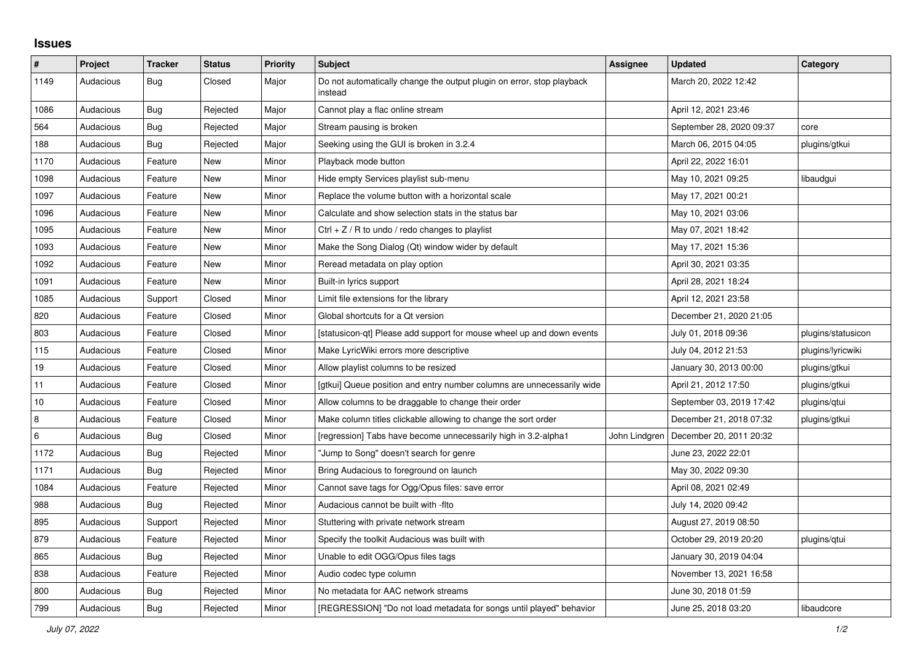## **Issues**

| #       | Project   | <b>Tracker</b> | <b>Status</b> | <b>Priority</b> | <b>Subject</b>                                                                   | <b>Assignee</b> | Updated                  | Category           |
|---------|-----------|----------------|---------------|-----------------|----------------------------------------------------------------------------------|-----------------|--------------------------|--------------------|
| 1149    | Audacious | <b>Bug</b>     | Closed        | Major           | Do not automatically change the output plugin on error, stop playback<br>instead |                 | March 20, 2022 12:42     |                    |
| 1086    | Audacious | Bug            | Rejected      | Major           | Cannot play a flac online stream                                                 |                 | April 12, 2021 23:46     |                    |
| 564     | Audacious | Bug            | Rejected      | Major           | Stream pausing is broken                                                         |                 | September 28, 2020 09:37 | core               |
| 188     | Audacious | Bug            | Rejected      | Major           | Seeking using the GUI is broken in 3.2.4                                         |                 | March 06, 2015 04:05     | plugins/gtkui      |
| 1170    | Audacious | Feature        | New           | Minor           | Playback mode button                                                             |                 | April 22, 2022 16:01     |                    |
| 1098    | Audacious | Feature        | New           | Minor           | Hide empty Services playlist sub-menu                                            |                 | May 10, 2021 09:25       | libaudgui          |
| 1097    | Audacious | Feature        | New           | Minor           | Replace the volume button with a horizontal scale                                |                 | May 17, 2021 00:21       |                    |
| 1096    | Audacious | Feature        | New           | Minor           | Calculate and show selection stats in the status bar                             |                 | May 10, 2021 03:06       |                    |
| 1095    | Audacious | Feature        | <b>New</b>    | Minor           | Ctrl $+$ Z / R to undo / redo changes to playlist                                |                 | May 07, 2021 18:42       |                    |
| 1093    | Audacious | Feature        | New           | Minor           | Make the Song Dialog (Qt) window wider by default                                |                 | May 17, 2021 15:36       |                    |
| 1092    | Audacious | Feature        | New           | Minor           | Reread metadata on play option                                                   |                 | April 30, 2021 03:35     |                    |
| 1091    | Audacious | Feature        | New           | Minor           | Built-in lyrics support                                                          |                 | April 28, 2021 18:24     |                    |
| 1085    | Audacious | Support        | Closed        | Minor           | Limit file extensions for the library                                            |                 | April 12, 2021 23:58     |                    |
| 820     | Audacious | Feature        | Closed        | Minor           | Global shortcuts for a Qt version                                                |                 | December 21, 2020 21:05  |                    |
| 803     | Audacious | Feature        | Closed        | Minor           | [statusicon-qt] Please add support for mouse wheel up and down events            |                 | July 01, 2018 09:36      | plugins/statusicon |
| 115     | Audacious | Feature        | Closed        | Minor           | Make LyricWiki errors more descriptive                                           |                 | July 04, 2012 21:53      | plugins/lyricwiki  |
| 19      | Audacious | Feature        | Closed        | Minor           | Allow playlist columns to be resized                                             |                 | January 30, 2013 00:00   | plugins/gtkui      |
| 11      | Audacious | Feature        | Closed        | Minor           | [gtkui] Queue position and entry number columns are unnecessarily wide           |                 | April 21, 2012 17:50     | plugins/gtkui      |
| 10      | Audacious | Feature        | Closed        | Minor           | Allow columns to be draggable to change their order                              |                 | September 03, 2019 17:42 | plugins/qtui       |
| 8       | Audacious | Feature        | Closed        | Minor           | Make column titles clickable allowing to change the sort order                   |                 | December 21, 2018 07:32  | plugins/gtkui      |
| $\,6\,$ | Audacious | Bug            | Closed        | Minor           | [regression] Tabs have become unnecessarily high in 3.2-alpha1                   | John Lindgren   | December 20, 2011 20:32  |                    |
| 1172    | Audacious | Bug            | Rejected      | Minor           | Jump to Song" doesn't search for genre                                           |                 | June 23, 2022 22:01      |                    |
| 1171    | Audacious | <b>Bug</b>     | Rejected      | Minor           | Bring Audacious to foreground on launch                                          |                 | May 30, 2022 09:30       |                    |
| 1084    | Audacious | Feature        | Rejected      | Minor           | Cannot save tags for Ogg/Opus files: save error                                  |                 | April 08, 2021 02:49     |                    |
| 988     | Audacious | Bug            | Rejected      | Minor           | Audacious cannot be built with -flto                                             |                 | July 14, 2020 09:42      |                    |
| 895     | Audacious | Support        | Rejected      | Minor           | Stuttering with private network stream                                           |                 | August 27, 2019 08:50    |                    |
| 879     | Audacious | Feature        | Rejected      | Minor           | Specify the toolkit Audacious was built with                                     |                 | October 29, 2019 20:20   | plugins/qtui       |
| 865     | Audacious | Bug            | Rejected      | Minor           | Unable to edit OGG/Opus files tags                                               |                 | January 30, 2019 04:04   |                    |
| 838     | Audacious | Feature        | Rejected      | Minor           | Audio codec type column                                                          |                 | November 13, 2021 16:58  |                    |
| 800     | Audacious | <b>Bug</b>     | Rejected      | Minor           | No metadata for AAC network streams                                              |                 | June 30, 2018 01:59      |                    |
| 799     | Audacious | <b>Bug</b>     | Rejected      | Minor           | [REGRESSION] "Do not load metadata for songs until played" behavior              |                 | June 25, 2018 03:20      | libaudcore         |